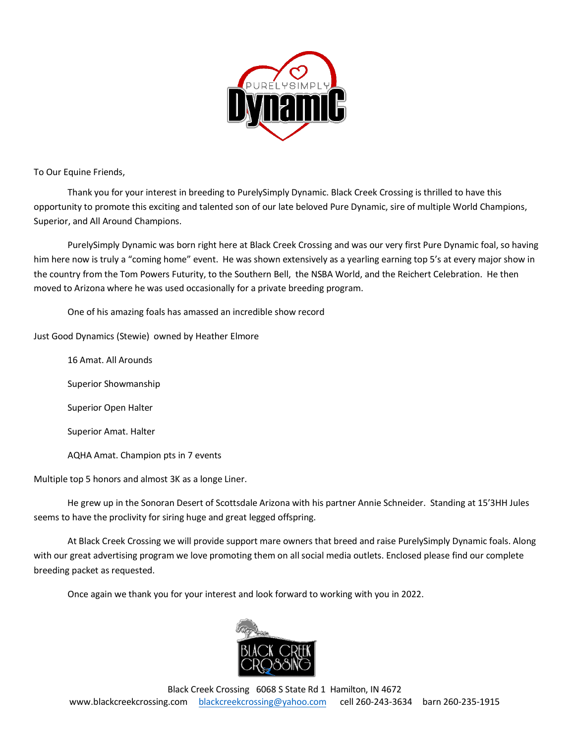

To Our Equine Friends,

Thank you for your interest in breeding to PurelySimply Dynamic. Black Creek Crossing is thrilled to have this opportunity to promote this exciting and talented son of our late beloved Pure Dynamic, sire of multiple World Champions, Superior, and All Around Champions.

PurelySimply Dynamic was born right here at Black Creek Crossing and was our very first Pure Dynamic foal, so having him here now is truly a "coming home" event. He was shown extensively as a yearling earning top 5's at every major show in the country from the Tom Powers Futurity, to the Southern Bell, the NSBA World, and the Reichert Celebration. He then moved to Arizona where he was used occasionally for a private breeding program.

One of his amazing foals has amassed an incredible show record

Just Good Dynamics (Stewie) owned by Heather Elmore

16 Amat. All Arounds Superior Showmanship Superior Open Halter Superior Amat. Halter AQHA Amat. Champion pts in 7 events

Multiple top 5 honors and almost 3K as a longe Liner.

He grew up in the Sonoran Desert of Scottsdale Arizona with his partner Annie Schneider. Standing at 15'3HH Jules seems to have the proclivity for siring huge and great legged offspring.

At Black Creek Crossing we will provide support mare owners that breed and raise PurelySimply Dynamic foals. Along with our great advertising program we love promoting them on all social media outlets. Enclosed please find our complete breeding packet as requested.

Once again we thank you for your interest and look forward to working with you in 2022.

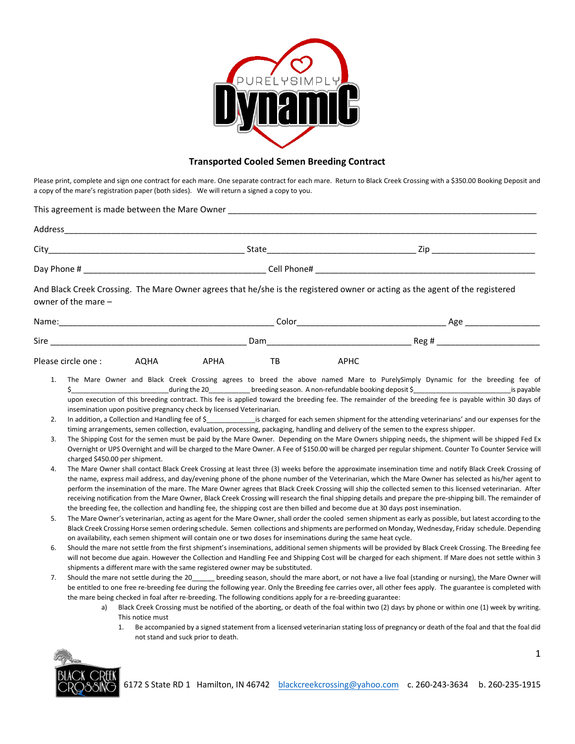

## **Transported Cooled Semen Breeding Contract**

Please print, complete and sign one contract for each mare. One separate contract for each mare. Return to Black Creek Crossing with a \$350.00 Booking Deposit and a copy of the mare's registration paper (both sides). We will return a signed a copy to you.

| This agreement is made between the Mare Owner |             |     |  |
|-----------------------------------------------|-------------|-----|--|
| Address                                       |             |     |  |
| City                                          | State       | 7in |  |
| Day Phone #                                   | Cell Phone# |     |  |
|                                               |             |     |  |

And Black Creek Crossing. The Mare Owner agrees that he/she is the registered owner or acting as the agent of the registered owner of the mare –

| Name:              |      |             | Color |             | Age         |  |
|--------------------|------|-------------|-------|-------------|-------------|--|
| Sire               |      | Dam         |       |             | $Rec$ Reg # |  |
| Please circle one: | AQHA | <b>APHA</b> | TB    | <b>APHC</b> |             |  |

- 1. The Mare Owner and Black Creek Crossing agrees to breed the above named Mare to PurelySimply Dynamic for the breeding fee of \$\_\_\_\_\_\_\_\_\_\_\_\_\_\_\_\_\_\_\_\_\_\_\_\_\_\_during the 20\_\_\_\_\_\_\_\_\_\_\_ breeding season. A non-refundable booking deposit \$\_\_\_\_\_\_\_\_\_\_\_\_\_\_\_\_\_\_\_\_\_\_\_\_\_\_is payable upon execution of this breeding contract. This fee is applied toward the breeding fee. The remainder of the breeding fee is payable within 30 days of insemination upon positive pregnancy check by licensed Veterinarian.
- 2. In addition, a Collection and Handling fee of \$ \_\_\_\_\_\_\_\_\_\_\_\_\_\_\_\_\_is charged for each semen shipment for the attending veterinarians' and our expenses for the timing arrangements, semen collection, evaluation, processing, packaging, handling and delivery of the semen to the express shipper.
- 3. The Shipping Cost for the semen must be paid by the Mare Owner. Depending on the Mare Owners shipping needs, the shipment will be shipped Fed Ex Overnight or UPS Overnight and will be charged to the Mare Owner. A Fee of \$150.00 will be charged per regular shipment. Counter To Counter Service will charged \$450.00 per shipment.
- 4. The Mare Owner shall contact Black Creek Crossing at least three (3) weeks before the approximate insemination time and notify Black Creek Crossing of the name, express mail address, and day/evening phone of the phone number of the Veterinarian, which the Mare Owner has selected as his/her agent to perform the insemination of the mare. The Mare Owner agrees that Black Creek Crossing will ship the collected semen to this licensed veterinarian. After receiving notification from the Mare Owner, Black Creek Crossing will research the final shipping details and prepare the pre-shipping bill. The remainder of the breeding fee, the collection and handling fee, the shipping cost are then billed and become due at 30 days post insemination.
- 5. The Mare Owner's veterinarian, acting as agent for the Mare Owner, shall order the cooled semen shipment as early as possible, but latest according to the Black Creek Crossing Horse semen ordering schedule. Semen collections and shipments are performed on Monday, Wednesday, Friday schedule. Depending on availability, each semen shipment will contain one or two doses for inseminations during the same heat cycle.
- 6. Should the mare not settle from the first shipment's inseminations, additional semen shipments will be provided by Black Creek Crossing. The Breeding fee will not become due again. However the Collection and Handling Fee and Shipping Cost will be charged for each shipment. If Mare does not settle within 3 shipments a different mare with the same registered owner may be substituted.
- 7. Should the mare not settle during the 20 \_\_\_\_\_\_ breeding season, should the mare abort, or not have a live foal (standing or nursing), the Mare Owner will be entitled to one free re-breeding fee during the following year. Only the Breeding fee carries over, all other fees apply. The guarantee is completed with the mare being checked in foal after re-breeding. The following conditions apply for a re-breeding guarantee:
	- a) Black Creek Crossing must be notified of the aborting, or death of the foal within two (2) days by phone or within one (1) week by writing. This notice must
		- 1. Be accompanied by a signed statement from a licensed veterinarian stating loss of pregnancy or death of the foal and that the foal did not stand and suck prior to death.

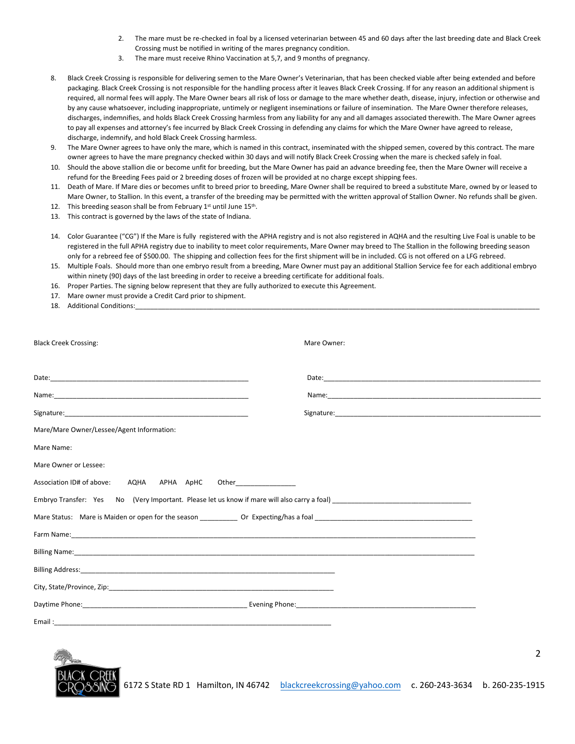- 2. The mare must be re-checked in foal by a licensed veterinarian between 45 and 60 days after the last breeding date and Black Creek Crossing must be notified in writing of the mares pregnancy condition.
- 3. The mare must receive Rhino Vaccination at 5,7, and 9 months of pregnancy.
- 8. Black Creek Crossing is responsible for delivering semen to the Mare Owner's Veterinarian, that has been checked viable after being extended and before packaging. Black Creek Crossing is not responsible for the handling process after it leaves Black Creek Crossing. If for any reason an additional shipment is required, all normal fees will apply. The Mare Owner bears all risk of loss or damage to the mare whether death, disease, injury, infection or otherwise and by any cause whatsoever, including inappropriate, untimely or negligent inseminations or failure of insemination. The Mare Owner therefore releases, discharges, indemnifies, and holds Black Creek Crossing harmless from any liability for any and all damages associated therewith. The Mare Owner agrees to pay all expenses and attorney's fee incurred by Black Creek Crossing in defending any claims for which the Mare Owner have agreed to release, discharge, indemnify, and hold Black Creek Crossing harmless.
- 9. The Mare Owner agrees to have only the mare, which is named in this contract, inseminated with the shipped semen, covered by this contract. The mare owner agrees to have the mare pregnancy checked within 30 days and will notify Black Creek Crossing when the mare is checked safely in foal.
- 10. Should the above stallion die or become unfit for breeding, but the Mare Owner has paid an advance breeding fee, then the Mare Owner will receive a refund for the Breeding Fees paid or 2 breeding doses of frozen will be provided at no charge except shipping fees.
- 11. Death of Mare. If Mare dies or becomes unfit to breed prior to breeding, Mare Owner shall be required to breed a substitute Mare, owned by or leased to Mare Owner, to Stallion. In this event, a transfer of the breeding may be permitted with the written approval of Stallion Owner. No refunds shall be given.
- 12. This breeding season shall be from February  $1^{st}$  until June  $15^{th}$ .
- 13. This contract is governed by the laws of the state of Indiana.
- 14. Color Guarantee ("CG") If the Mare is fully registered with the APHA registry and is not also registered in AQHA and the resulting Live Foal is unable to be registered in the full APHA registry due to inability to meet color requirements, Mare Owner may breed to The Stallion in the following breeding season only for a rebreed fee of \$500.00. The shipping and collection fees for the first shipment will be in included. CG is not offered on a LFG rebreed.
- 15. Multiple Foals. Should more than one embryo result from a breeding, Mare Owner must pay an additional Stallion Service fee for each additional embryo within ninety (90) days of the last breeding in order to receive a breeding certificate for additional foals.
- 16. Proper Parties. The signing below represent that they are fully authorized to execute this Agreement.
- 17. Mare owner must provide a Credit Card prior to shipment.
- 18. Additional Conditions:

| <b>Black Creek Crossing:</b>                                  | Mare Owner: |  |  |  |
|---------------------------------------------------------------|-------------|--|--|--|
|                                                               |             |  |  |  |
|                                                               |             |  |  |  |
|                                                               |             |  |  |  |
| Mare/Mare Owner/Lessee/Agent Information:                     |             |  |  |  |
| Mare Name:                                                    |             |  |  |  |
| Mare Owner or Lessee:                                         |             |  |  |  |
| Association ID# of above: AQHA APHA ApHC Other_______________ |             |  |  |  |
|                                                               |             |  |  |  |
|                                                               |             |  |  |  |
|                                                               |             |  |  |  |
|                                                               |             |  |  |  |
|                                                               |             |  |  |  |
|                                                               |             |  |  |  |
|                                                               |             |  |  |  |
|                                                               |             |  |  |  |